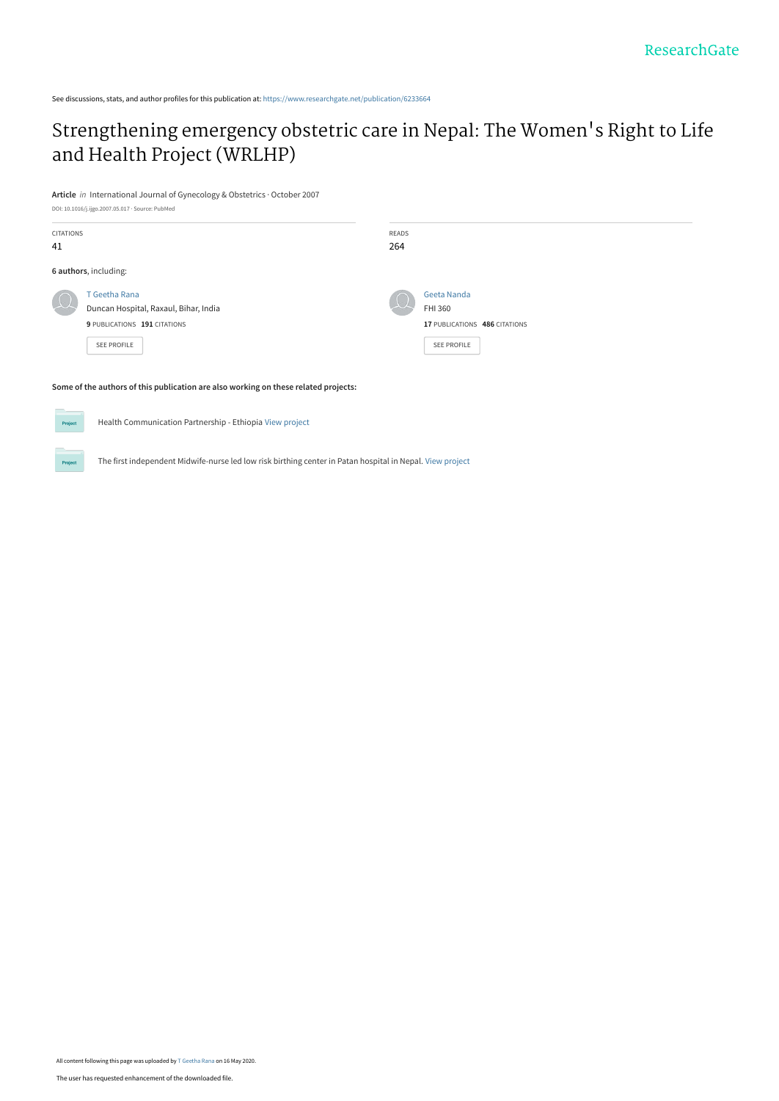See discussions, stats, and author profiles for this publication at: [https://www.researchgate.net/publication/6233664](https://www.researchgate.net/publication/6233664_Strengthening_emergency_obstetric_care_in_Nepal_The_Women%27s_Right_to_Life_and_Health_Project_WRLHP?enrichId=rgreq-46716c69113cfdddfcf13767892b6c0f-XXX&enrichSource=Y292ZXJQYWdlOzYyMzM2NjQ7QVM6ODkxNzA5MDk3NTI1MjQ4QDE1ODk2MTE0MjQ1NTA%3D&el=1_x_2&_esc=publicationCoverPdf)

# [Strengthening emergency obstetric care in Nepal: The Women](https://www.researchgate.net/publication/6233664_Strengthening_emergency_obstetric_care_in_Nepal_The_Women%27s_Right_to_Life_and_Health_Project_WRLHP?enrichId=rgreq-46716c69113cfdddfcf13767892b6c0f-XXX&enrichSource=Y292ZXJQYWdlOzYyMzM2NjQ7QVM6ODkxNzA5MDk3NTI1MjQ4QDE1ODk2MTE0MjQ1NTA%3D&el=1_x_3&_esc=publicationCoverPdf)'s Right to Life and Health Project (WRLHP)

**Article** in International Journal of Gynecology & Obstetrics · October 2007

DOI: 10.1016/j.ijgo.2007.05.017 · Source: PubMed

| <b>CITATIONS</b> |                                       | READS |                               |
|------------------|---------------------------------------|-------|-------------------------------|
| 41               |                                       | 264   |                               |
|                  | 6 authors, including:                 |       |                               |
|                  | T Geetha Rana                         |       | Geeta Nanda                   |
|                  | Duncan Hospital, Raxaul, Bihar, India |       | FHI 360                       |
|                  | 9 PUBLICATIONS 191 CITATIONS          |       | 17 PUBLICATIONS 486 CITATIONS |
|                  | <b>SEE PROFILE</b>                    |       | <b>SEE PROFILE</b>            |
|                  |                                       |       |                               |
| $\mu$            |                                       |       |                               |

#### **Some of the authors of this publication are also working on these related projects:**

| <b>STATE</b><br><b>STATE</b><br><b>Contract Contract Contract Contract Contract Contract Contract Contract Contract Contract Contract Contract Co</b><br><b>STATE</b><br><b>STATE</b><br><b>CONTRACTOR</b> |
|------------------------------------------------------------------------------------------------------------------------------------------------------------------------------------------------------------|
|                                                                                                                                                                                                            |

Health Communication Partnership - Ethiopia [View project](https://www.researchgate.net/project/Health-Communication-Partnership-Ethiopia?enrichId=rgreq-46716c69113cfdddfcf13767892b6c0f-XXX&enrichSource=Y292ZXJQYWdlOzYyMzM2NjQ7QVM6ODkxNzA5MDk3NTI1MjQ4QDE1ODk2MTE0MjQ1NTA%3D&el=1_x_9&_esc=publicationCoverPdf)

The first independent Midwife-nurse led low risk birthing center in Patan hospital in Nepal. [View project](https://www.researchgate.net/project/The-first-independent-Midwife-nurse-led-low-risk-birthing-center-in-Patan-hospital-in-Nepal?enrichId=rgreq-46716c69113cfdddfcf13767892b6c0f-XXX&enrichSource=Y292ZXJQYWdlOzYyMzM2NjQ7QVM6ODkxNzA5MDk3NTI1MjQ4QDE1ODk2MTE0MjQ1NTA%3D&el=1_x_9&_esc=publicationCoverPdf)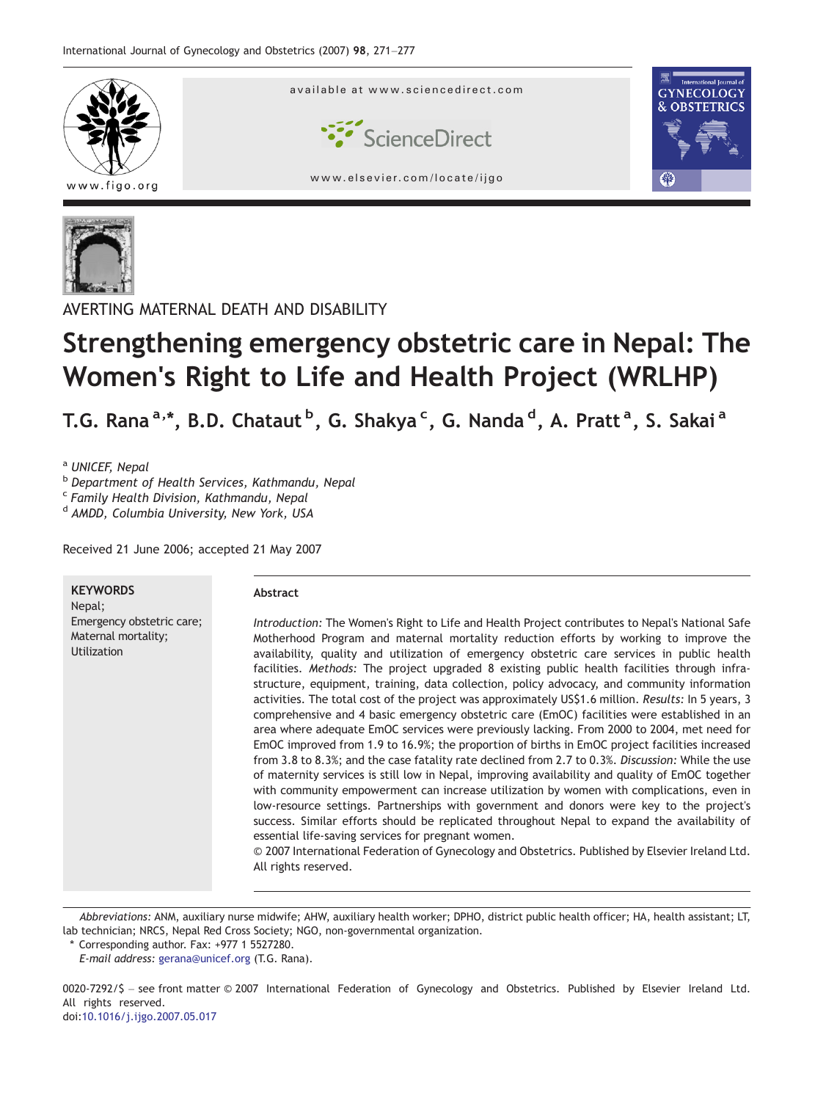





AVERTING MATERNAL DEATH AND DISABILITY

# Strengthening emergency obstetric care in Nepal: The Women's Right to Life and Health Project (WRLHP)

T.G. Rana $\mathrm{^{a,*}},$  B.D. Chataut  $^{\mathrm{b}}$ , G. Shakya  $^{\mathrm{c}}$ , G. Nanda  $^{\mathrm{d}}$ , A. Pratt  $^{\mathrm{a}}$ , S. Sakai  $^{\mathrm{a}}$ 

a UNICEF, Nepal

c Family Health Division, Kathmandu, Nepal

d AMDD, Columbia University, New York, USA

Received 21 June 2006; accepted 21 May 2007

| <b>KEYWORDS</b>                                                                  |                                                                                                                                                                                                                                                                                                                                                                                                                                                                                                                                                                                                                                                                                                                                                                                                                                                                                                                                                                                                                                                                                                                                                                                                                                                                                                                                                                                                                                                                                                                                                                                             |
|----------------------------------------------------------------------------------|---------------------------------------------------------------------------------------------------------------------------------------------------------------------------------------------------------------------------------------------------------------------------------------------------------------------------------------------------------------------------------------------------------------------------------------------------------------------------------------------------------------------------------------------------------------------------------------------------------------------------------------------------------------------------------------------------------------------------------------------------------------------------------------------------------------------------------------------------------------------------------------------------------------------------------------------------------------------------------------------------------------------------------------------------------------------------------------------------------------------------------------------------------------------------------------------------------------------------------------------------------------------------------------------------------------------------------------------------------------------------------------------------------------------------------------------------------------------------------------------------------------------------------------------------------------------------------------------|
| Nepal;<br>Emergency obstetric care;<br>Maternal mortality;<br><b>Utilization</b> | Abstract<br>Introduction: The Women's Right to Life and Health Project contributes to Nepal's National Safe<br>Motherhood Program and maternal mortality reduction efforts by working to improve the<br>availability, quality and utilization of emergency obstetric care services in public health<br>facilities. Methods: The project upgraded 8 existing public health facilities through infra-<br>structure, equipment, training, data collection, policy advocacy, and community information<br>activities. The total cost of the project was approximately US\$1.6 million. Results: In 5 years, 3<br>comprehensive and 4 basic emergency obstetric care (EmOC) facilities were established in an<br>area where adequate EmOC services were previously lacking. From 2000 to 2004, met need for<br>EmOC improved from 1.9 to 16.9%; the proportion of births in EmOC project facilities increased<br>from 3.8 to 8.3%; and the case fatality rate declined from 2.7 to 0.3%. Discussion: While the use<br>of maternity services is still low in Nepal, improving availability and quality of EmOC together<br>with community empowerment can increase utilization by women with complications, even in<br>low-resource settings. Partnerships with government and donors were key to the project's<br>success. Similar efforts should be replicated throughout Nepal to expand the availability of<br>essential life-saving services for pregnant women.<br>© 2007 International Federation of Gynecology and Obstetrics. Published by Elsevier Ireland Ltd.<br>All rights reserved. |
|                                                                                  |                                                                                                                                                                                                                                                                                                                                                                                                                                                                                                                                                                                                                                                                                                                                                                                                                                                                                                                                                                                                                                                                                                                                                                                                                                                                                                                                                                                                                                                                                                                                                                                             |

Abbreviations: ANM, auxiliary nurse midwife; AHW, auxiliary health worker; DPHO, district public health officer; HA, health assistant; LT, lab technician; NRCS, Nepal Red Cross Society; NGO, non-governmental organization.

⁎ Corresponding author. Fax: +977 1 5527280.

E-mail address: [gerana@unicef.org](mailto:gerana@unicef.org) (T.G. Rana).

0020-7292/\$ – see front matter © 2007 International Federation of Gynecology and Obstetrics. Published by Elsevier Ireland Ltd. All rights reserved.

doi[:10.1016/j.ijgo.2007.05.017](http://dx.doi.org/10.1016/j.ijgo.2007.05.017)

**b** Department of Health Services, Kathmandu, Nepal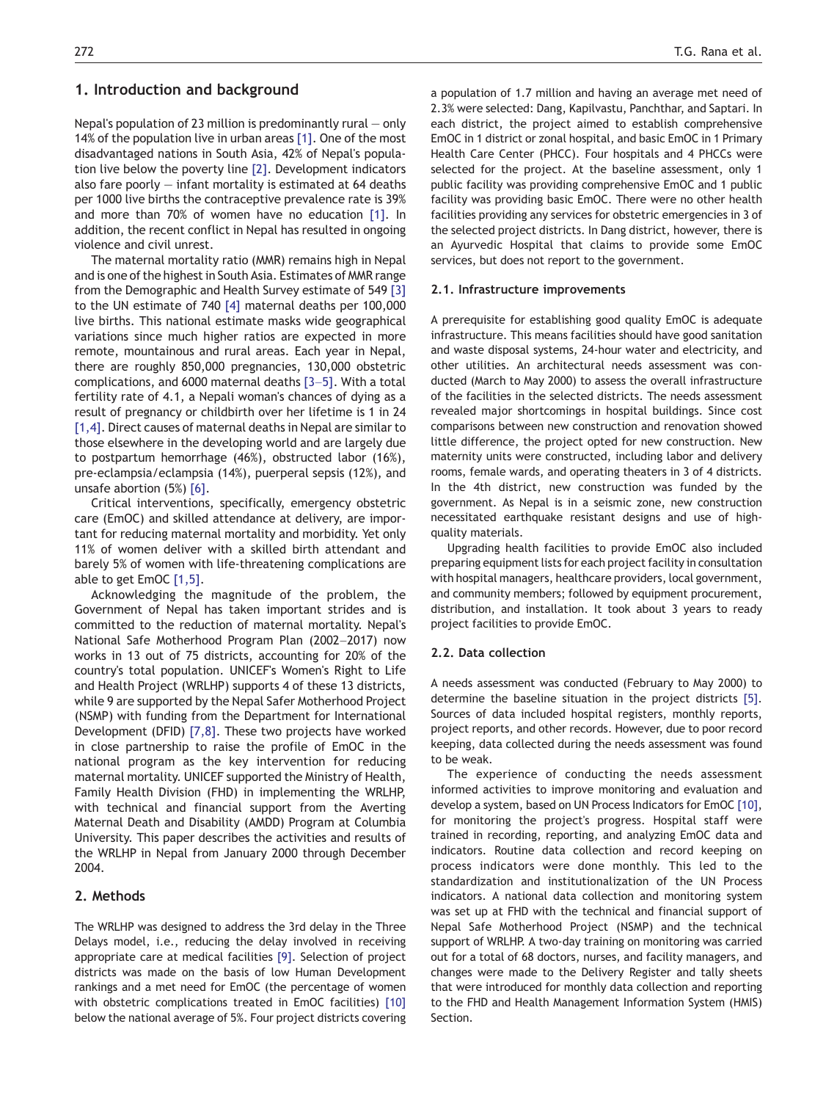#### 1. Introduction and background

Nepal's population of 23 million is predominantly rural — only 14% of the population live in urban areas [\[1\]](#page-6-0). One of the most disadvantaged nations in South Asia, 42% of Nepal's population live below the poverty line [\[2\].](#page-6-0) Development indicators also fare poorly  $-$  infant mortality is estimated at 64 deaths per 1000 live births the contraceptive prevalence rate is 39% and more than 70% of women have no education [\[1\].](#page-6-0) In addition, the recent conflict in Nepal has resulted in ongoing violence and civil unrest.

The maternal mortality ratio (MMR) remains high in Nepal and is one of the highest in South Asia. Estimates of MMR range from the Demographic and Health Survey estimate of 549 [\[3\]](#page-6-0) to the UN estimate of 740 [\[4\]](#page-6-0) maternal deaths per 100,000 live births. This national estimate masks wide geographical variations since much higher ratios are expected in more remote, mountainous and rural areas. Each year in Nepal, there are roughly 850,000 pregnancies, 130,000 obstetric complications, and 6000 maternal deaths [\[3](#page-6-0)–5]. With a total fertility rate of 4.1, a Nepali woman's chances of dying as a result of pregnancy or childbirth over her lifetime is 1 in 24 [\[1,4\].](#page-6-0) Direct causes of maternal deaths in Nepal are similar to those elsewhere in the developing world and are largely due to postpartum hemorrhage (46%), obstructed labor (16%), pre-eclampsia/eclampsia (14%), puerperal sepsis (12%), and unsafe abortion (5%) [\[6\]](#page-6-0).

Critical interventions, specifically, emergency obstetric care (EmOC) and skilled attendance at delivery, are important for reducing maternal mortality and morbidity. Yet only 11% of women deliver with a skilled birth attendant and barely 5% of women with life-threatening complications are able to get EmOC [\[1,5\]](#page-6-0).

Acknowledging the magnitude of the problem, the Government of Nepal has taken important strides and is committed to the reduction of maternal mortality. Nepal's National Safe Motherhood Program Plan (2002–2017) now works in 13 out of 75 districts, accounting for 20% of the country's total population. UNICEF's Women's Right to Life and Health Project (WRLHP) supports 4 of these 13 districts, while 9 are supported by the Nepal Safer Motherhood Project (NSMP) with funding from the Department for International Development (DFID) [\[7,8\].](#page-6-0) These two projects have worked in close partnership to raise the profile of EmOC in the national program as the key intervention for reducing maternal mortality. UNICEF supported the Ministry of Health, Family Health Division (FHD) in implementing the WRLHP, with technical and financial support from the Averting Maternal Death and Disability (AMDD) Program at Columbia University. This paper describes the activities and results of the WRLHP in Nepal from January 2000 through December 2004.

# 2. Methods

The WRLHP was designed to address the 3rd delay in the Three Delays model, i.e., reducing the delay involved in receiving appropriate care at medical facilities [\[9\].](#page-6-0) Selection of project districts was made on the basis of low Human Development rankings and a met need for EmOC (the percentage of women with obstetric complications treated in EmOC facilities) [\[10\]](#page-6-0) below the national average of 5%. Four project districts covering a population of 1.7 million and having an average met need of 2.3% were selected: Dang, Kapilvastu, Panchthar, and Saptari. In each district, the project aimed to establish comprehensive EmOC in 1 district or zonal hospital, and basic EmOC in 1 Primary Health Care Center (PHCC). Four hospitals and 4 PHCCs were selected for the project. At the baseline assessment, only 1 public facility was providing comprehensive EmOC and 1 public facility was providing basic EmOC. There were no other health facilities providing any services for obstetric emergencies in 3 of the selected project districts. In Dang district, however, there is an Ayurvedic Hospital that claims to provide some EmOC services, but does not report to the government.

#### 2.1. Infrastructure improvements

A prerequisite for establishing good quality EmOC is adequate infrastructure. This means facilities should have good sanitation and waste disposal systems, 24-hour water and electricity, and other utilities. An architectural needs assessment was conducted (March to May 2000) to assess the overall infrastructure of the facilities in the selected districts. The needs assessment revealed major shortcomings in hospital buildings. Since cost comparisons between new construction and renovation showed little difference, the project opted for new construction. New maternity units were constructed, including labor and delivery rooms, female wards, and operating theaters in 3 of 4 districts. In the 4th district, new construction was funded by the government. As Nepal is in a seismic zone, new construction necessitated earthquake resistant designs and use of highquality materials.

Upgrading health facilities to provide EmOC also included preparing equipment lists for each project facility in consultation with hospital managers, healthcare providers, local government, and community members; followed by equipment procurement, distribution, and installation. It took about 3 years to ready project facilities to provide EmOC.

#### 2.2. Data collection

A needs assessment was conducted (February to May 2000) to determine the baseline situation in the project districts [\[5\].](#page-6-0) Sources of data included hospital registers, monthly reports, project reports, and other records. However, due to poor record keeping, data collected during the needs assessment was found to be weak.

The experience of conducting the needs assessment informed activities to improve monitoring and evaluation and develop a system, based on UN Process Indicators for EmOC [\[10\],](#page-6-0) for monitoring the project's progress. Hospital staff were trained in recording, reporting, and analyzing EmOC data and indicators. Routine data collection and record keeping on process indicators were done monthly. This led to the standardization and institutionalization of the UN Process indicators. A national data collection and monitoring system was set up at FHD with the technical and financial support of Nepal Safe Motherhood Project (NSMP) and the technical support of WRLHP. A two-day training on monitoring was carried out for a total of 68 doctors, nurses, and facility managers, and changes were made to the Delivery Register and tally sheets that were introduced for monthly data collection and reporting to the FHD and Health Management Information System (HMIS) Section.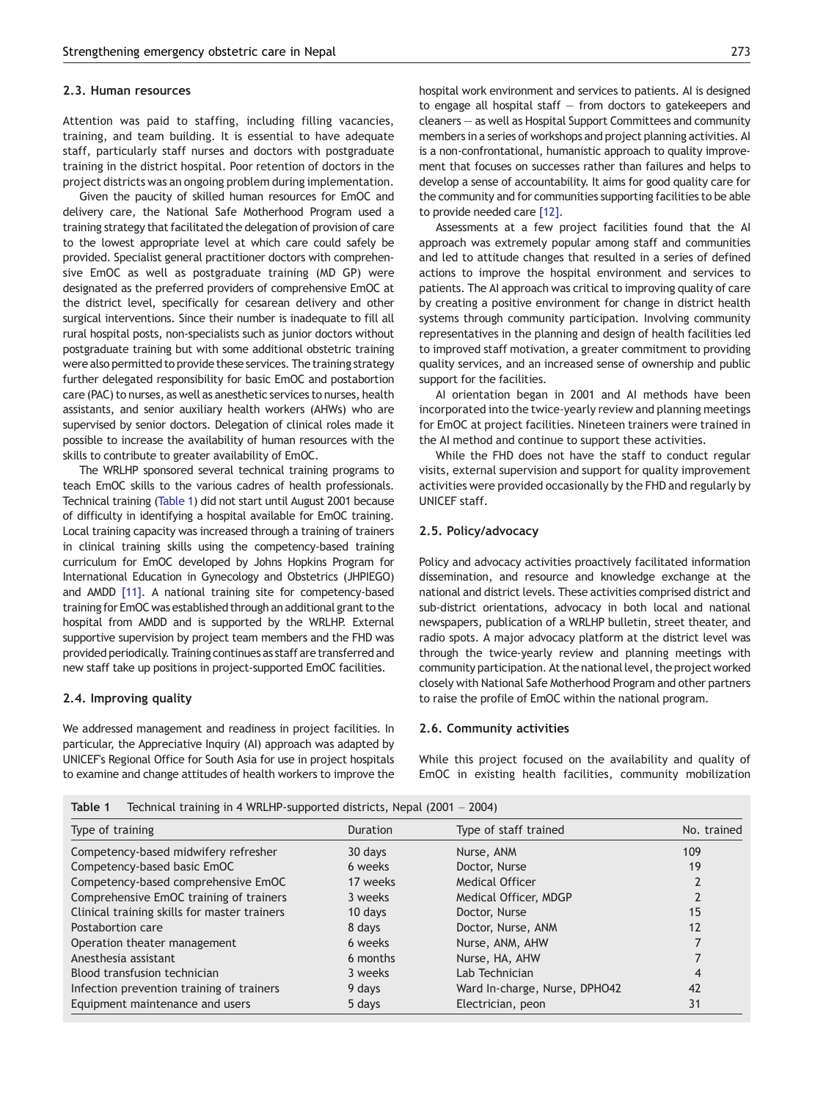#### 2.3. Human resources

Attention was paid to staffing, including filling vacancies, training, and team building. It is essential to have adequate staff, particularly staff nurses and doctors with postgraduate training in the district hospital. Poor retention of doctors in the project districts was an ongoing problem during implementation.

Given the paucity of skilled human resources for EmOC and delivery care, the National Safe Motherhood Program used a training strategy that facilitated the delegation of provision of care to the lowest appropriate level at which care could safely be provided. Specialist general practitioner doctors with comprehensive EmOC as well as postgraduate training (MD GP) were designated as the preferred providers of comprehensive EmOC at the district level, specifically for cesarean delivery and other surgical interventions. Since their number is inadequate to fill all rural hospital posts, non-specialists such as junior doctors without postgraduate training but with some additional obstetric training were also permitted to provide these services. The training strategy further delegated responsibility for basic EmOC and postabortion care (PAC) to nurses, as well as anesthetic services to nurses, health assistants, and senior auxiliary health workers (AHWs) who are supervised by senior doctors. Delegation of clinical roles made it possible to increase the availability of human resources with the skills to contribute to greater availability of EmOC.

The WRLHP sponsored several technical training programs to teach EmOC skills to the various cadres of health professionals. Technical training (Table 1) did not start until August 2001 because of difficulty in identifying a hospital available for EmOC training. Local training capacity was increased through a training of trainers in clinical training skills using the competency-based training curriculum for EmOC developed by Johns Hopkins Program for International Education in Gynecology and Obstetrics (JHPIEGO) and AMDD [\[11\]](#page-6-0). A national training site for competency-based training for EmOC was established through an additional grant to the hospital from AMDD and is supported by the WRLHP. External supportive supervision by project team members and the FHD was provided periodically. Training continues as staff are transferred and new staff take up positions in project-supported EmOC facilities.

#### 2.4. Improving quality

We addressed management and readiness in project facilities. In particular, the Appreciative Inquiry (AI) approach was adapted by UNICEF's Regional Office for South Asia for use in project hospitals to examine and change attitudes of health workers to improve the

hospital work environment and services to patients. AI is designed to engage all hospital staff  $-$  from doctors to gatekeepers and cleaners — as well as Hospital Support Committees and community members in a series of workshops and project planning activities. AI is a non-confrontational, humanistic approach to quality improvement that focuses on successes rather than failures and helps to develop a sense of accountability. It aims for good quality care for the community and for communities supporting facilities to be able to provide needed care [\[12\]](#page-7-0).

Assessments at a few project facilities found that the AI approach was extremely popular among staff and communities and led to attitude changes that resulted in a series of defined actions to improve the hospital environment and services to patients. The AI approach was critical to improving quality of care by creating a positive environment for change in district health systems through community participation. Involving community representatives in the planning and design of health facilities led to improved staff motivation, a greater commitment to providing quality services, and an increased sense of ownership and public support for the facilities.

AI orientation began in 2001 and AI methods have been incorporated into the twice-yearly review and planning meetings for EmOC at project facilities. Nineteen trainers were trained in the AI method and continue to support these activities.

While the FHD does not have the staff to conduct regular visits, external supervision and support for quality improvement activities were provided occasionally by the FHD and regularly by UNICEF staff.

#### 2.5. Policy/advocacy

Policy and advocacy activities proactively facilitated information dissemination, and resource and knowledge exchange at the national and district levels. These activities comprised district and sub-district orientations, advocacy in both local and national newspapers, publication of a WRLHP bulletin, street theater, and radio spots. A major advocacy platform at the district level was through the twice-yearly review and planning meetings with community participation. At the national level, the project worked closely with National Safe Motherhood Program and other partners to raise the profile of EmOC within the national program.

#### 2.6. Community activities

While this project focused on the availability and quality of EmOC in existing health facilities, community mobilization

Table 1 Technical training in 4 WRLHP-supported districts, Nepal (2001 – 2004)

| Type of training                             | Duration | Type of staff trained         | No. trained |
|----------------------------------------------|----------|-------------------------------|-------------|
| Competency-based midwifery refresher         | 30 days  | Nurse, ANM                    | 109         |
| Competency-based basic EmOC                  | 6 weeks  | Doctor, Nurse                 | 19          |
| Competency-based comprehensive EmOC          | 17 weeks | Medical Officer               |             |
| Comprehensive EmOC training of trainers      | 3 weeks  | Medical Officer, MDGP         |             |
| Clinical training skills for master trainers | 10 days  | Doctor, Nurse                 | 15          |
| Postabortion care                            | 8 days   | Doctor, Nurse, ANM            | 12          |
| Operation theater management                 | 6 weeks  | Nurse, ANM, AHW               |             |
| Anesthesia assistant                         | 6 months | Nurse, HA, AHW                |             |
| Blood transfusion technician                 | 3 weeks  | Lab Technician                | 4           |
| Infection prevention training of trainers    | 9 days   | Ward In-charge, Nurse, DPHO42 | 42          |
| Equipment maintenance and users              | 5 days   | Electrician, peon             | 31          |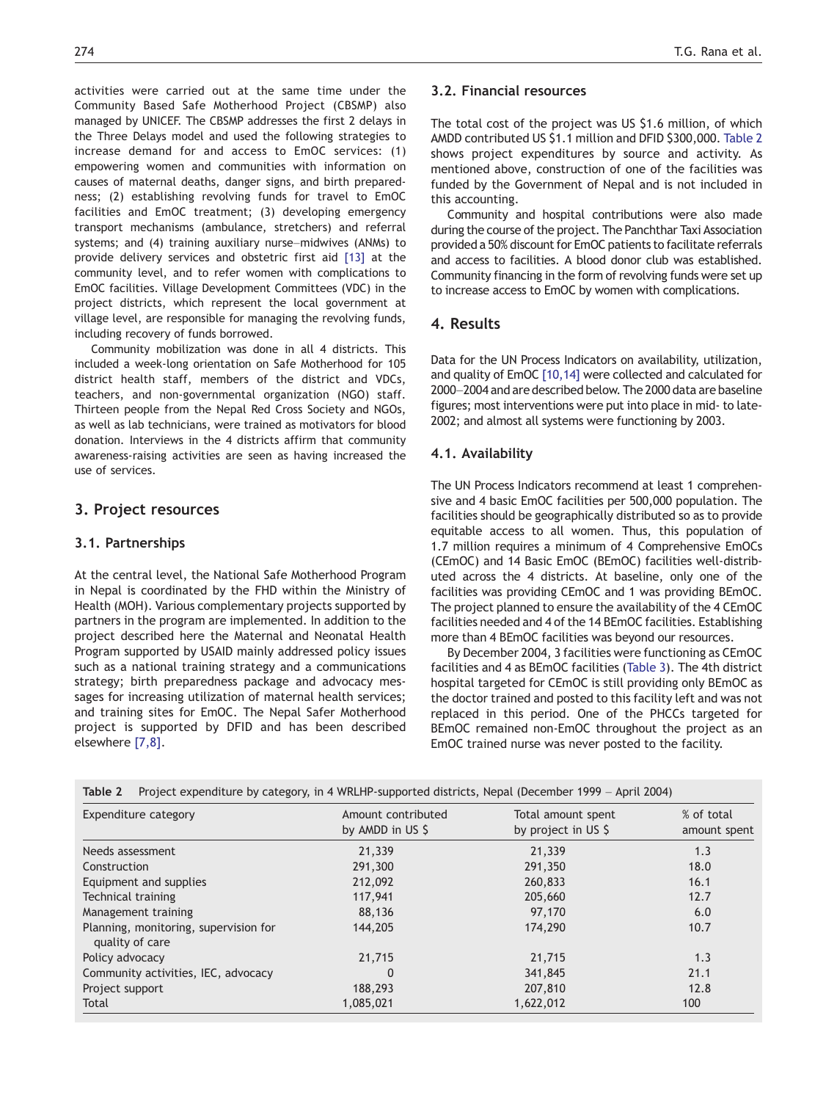activities were carried out at the same time under the Community Based Safe Motherhood Project (CBSMP) also managed by UNICEF. The CBSMP addresses the first 2 delays in the Three Delays model and used the following strategies to increase demand for and access to EmOC services: (1) empowering women and communities with information on causes of maternal deaths, danger signs, and birth preparedness; (2) establishing revolving funds for travel to EmOC facilities and EmOC treatment; (3) developing emergency transport mechanisms (ambulance, stretchers) and referral systems; and (4) training auxiliary nurse–midwives (ANMs) to provide delivery services and obstetric first aid [\[13\]](#page-7-0) at the community level, and to refer women with complications to EmOC facilities. Village Development Committees (VDC) in the project districts, which represent the local government at village level, are responsible for managing the revolving funds, including recovery of funds borrowed.

Community mobilization was done in all 4 districts. This included a week-long orientation on Safe Motherhood for 105 district health staff, members of the district and VDCs, teachers, and non-governmental organization (NGO) staff. Thirteen people from the Nepal Red Cross Society and NGOs, as well as lab technicians, were trained as motivators for blood donation. Interviews in the 4 districts affirm that community awareness-raising activities are seen as having increased the use of services.

## 3. Project resources

#### 3.1. Partnerships

At the central level, the National Safe Motherhood Program in Nepal is coordinated by the FHD within the Ministry of Health (MOH). Various complementary projects supported by partners in the program are implemented. In addition to the project described here the Maternal and Neonatal Health Program supported by USAID mainly addressed policy issues such as a national training strategy and a communications strategy; birth preparedness package and advocacy messages for increasing utilization of maternal health services; and training sites for EmOC. The Nepal Safer Motherhood project is supported by DFID and has been described elsewhere [\[7,8\]](#page-6-0).

### 3.2. Financial resources

The total cost of the project was US \$1.6 million, of which AMDD contributed US \$1.1 million and DFID \$300,000. Table 2 shows project expenditures by source and activity. As mentioned above, construction of one of the facilities was funded by the Government of Nepal and is not included in this accounting.

Community and hospital contributions were also made during the course of the project. The Panchthar Taxi Association provided a 50% discount for EmOC patients to facilitate referrals and access to facilities. A blood donor club was established. Community financing in the form of revolving funds were set up to increase access to EmOC by women with complications.

# 4. Results

Data for the UN Process Indicators on availability, utilization, and quality of EmOC [\[10,14\]](#page-6-0) were collected and calculated for 2000–2004 and are described below. The 2000 data are baseline figures; most interventions were put into place in mid- to late-2002; and almost all systems were functioning by 2003.

#### 4.1. Availability

The UN Process Indicators recommend at least 1 comprehensive and 4 basic EmOC facilities per 500,000 population. The facilities should be geographically distributed so as to provide equitable access to all women. Thus, this population of 1.7 million requires a minimum of 4 Comprehensive EmOCs (CEmOC) and 14 Basic EmOC (BEmOC) facilities well-distributed across the 4 districts. At baseline, only one of the facilities was providing CEmOC and 1 was providing BEmOC. The project planned to ensure the availability of the 4 CEmOC facilities needed and 4 of the 14 BEmOC facilities. Establishing more than 4 BEmOC facilities was beyond our resources.

By December 2004, 3 facilities were functioning as CEmOC facilities and 4 as BEmOC facilities [\(Table 3](#page-5-0)). The 4th district hospital targeted for CEmOC is still providing only BEmOC as the doctor trained and posted to this facility left and was not replaced in this period. One of the PHCCs targeted for BEmOC remained non-EmOC throughout the project as an EmOC trained nurse was never posted to the facility.

| Expenditure category                                     | Amount contributed<br>by AMDD in US \$ | Total amount spent<br>by project in US \$ | % of total<br>amount spent |
|----------------------------------------------------------|----------------------------------------|-------------------------------------------|----------------------------|
| Needs assessment                                         | 21,339                                 | 21,339                                    | 1.3                        |
| Construction                                             | 291,300                                | 291,350                                   | 18.0                       |
| Equipment and supplies                                   | 212,092                                | 260,833                                   | 16.1                       |
| Technical training                                       | 117,941                                | 205,660                                   | 12.7                       |
| Management training                                      | 88,136                                 | 97,170                                    | 6.0                        |
| Planning, monitoring, supervision for<br>quality of care | 144,205                                | 174,290                                   | 10.7                       |
| Policy advocacy                                          | 21,715                                 | 21,715                                    | 1.3                        |
| Community activities, IEC, advocacy                      | 0                                      | 341,845                                   | 21.1                       |
| Project support                                          | 188,293                                | 207,810                                   | 12.8                       |
| Total                                                    | 1,085,021                              | 1,622,012                                 | 100                        |

Table 2 Project expenditure by category, in 4 WRLHP-supported districts, Nepal (December 1999 – April 2004)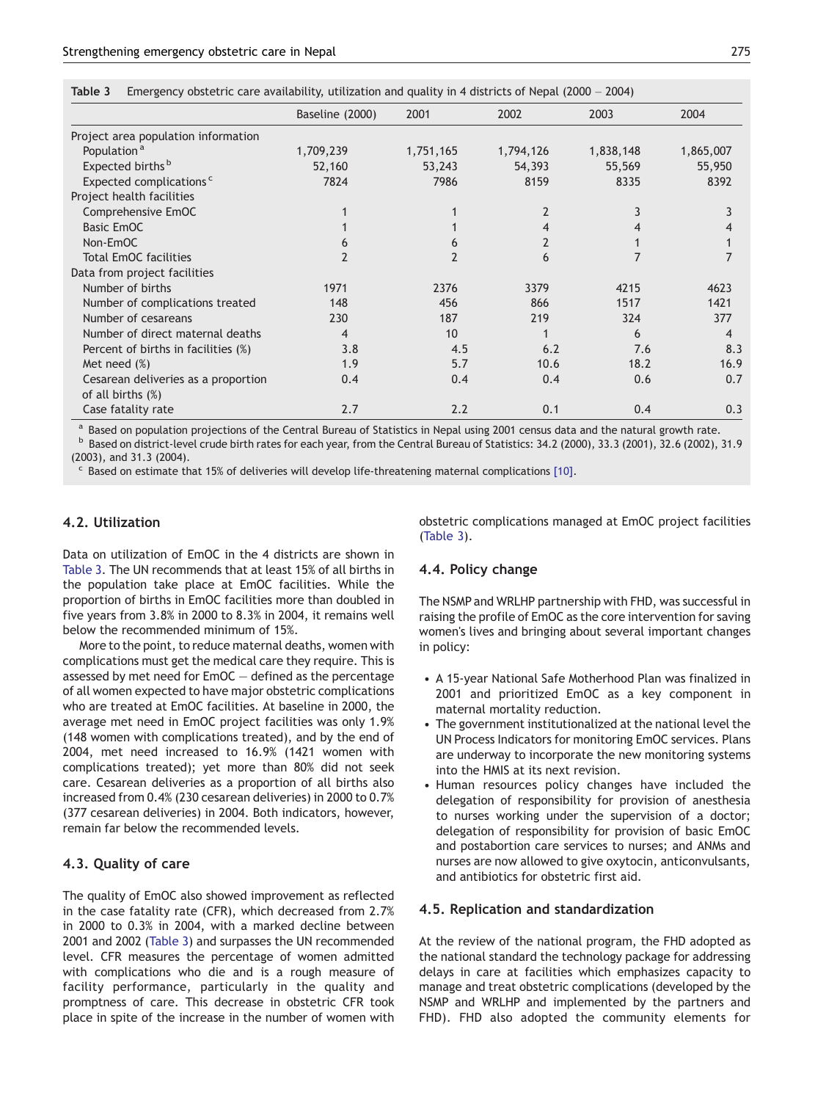|                                     | Baseline (2000) | 2001           | 2002      | 2003      | 2004      |
|-------------------------------------|-----------------|----------------|-----------|-----------|-----------|
| Project area population information |                 |                |           |           |           |
| Population <sup>a</sup>             | 1,709,239       | 1,751,165      | 1,794,126 | 1,838,148 | 1,865,007 |
| Expected births <sup>b</sup>        | 52,160          | 53,243         | 54,393    | 55,569    | 55,950    |
| Expected complications <sup>c</sup> | 7824            | 7986           | 8159      | 8335      | 8392      |
| Project health facilities           |                 |                |           |           |           |
| Comprehensive EmOC                  |                 |                | 2         |           |           |
| Basic EmOC                          |                 |                | 4         |           |           |
| Non-EmOC                            | 6               | 6              |           |           |           |
| <b>Total EmOC facilities</b>        | $\overline{2}$  | $\overline{2}$ | 6         |           |           |
| Data from project facilities        |                 |                |           |           |           |
| Number of births                    | 1971            | 2376           | 3379      | 4215      | 4623      |
| Number of complications treated     | 148             | 456            | 866       | 1517      | 1421      |
| Number of cesareans                 | 230             | 187            | 219       | 324       | 377       |
| Number of direct maternal deaths    | $\overline{4}$  | 10             |           | 6         | 4         |
| Percent of births in facilities (%) | 3.8             | 4.5            | 6.2       | 7.6       | 8.3       |
| Met need $(\%)$                     | 1.9             | 5.7            | 10.6      | 18.2      | 16.9      |
| Cesarean deliveries as a proportion | 0.4             | 0.4            | 0.4       | 0.6       | 0.7       |
| of all births (%)                   |                 |                |           |           |           |
| Case fatality rate                  | 2.7             | 2.2            | 0.1       | 0.4       | 0.3       |

<span id="page-5-0"></span>Table 3 Emergency obstetric care availability, utilization and quality in 4 districts of Nepal (2000 – 2004)

<sup>a</sup> Based on population projections of the Central Bureau of Statistics in Nepal using 2001 census data and the natural growth rate.<br><sup>b</sup> Based on district-level crude birth rates for each year, from the Central Bureau of (2003), and 31.3 (2004).

 $\epsilon$  Based on estimate that 15% of deliveries will develop life-threatening maternal complications [\[10\]](#page-6-0).

# 4.2. Utilization

Data on utilization of EmOC in the 4 districts are shown in Table 3. The UN recommends that at least 15% of all births in the population take place at EmOC facilities. While the proportion of births in EmOC facilities more than doubled in five years from 3.8% in 2000 to 8.3% in 2004, it remains well below the recommended minimum of 15%.

More to the point, to reduce maternal deaths, women with complications must get the medical care they require. This is assessed by met need for EmOC — defined as the percentage of all women expected to have major obstetric complications who are treated at EmOC facilities. At baseline in 2000, the average met need in EmOC project facilities was only 1.9% (148 women with complications treated), and by the end of 2004, met need increased to 16.9% (1421 women with complications treated); yet more than 80% did not seek care. Cesarean deliveries as a proportion of all births also increased from 0.4% (230 cesarean deliveries) in 2000 to 0.7% (377 cesarean deliveries) in 2004. Both indicators, however, remain far below the recommended levels.

### 4.3. Quality of care

The quality of EmOC also showed improvement as reflected in the case fatality rate (CFR), which decreased from 2.7% in 2000 to 0.3% in 2004, with a marked decline between 2001 and 2002 (Table 3) and surpasses the UN recommended level. CFR measures the percentage of women admitted with complications who die and is a rough measure of facility performance, particularly in the quality and promptness of care. This decrease in obstetric CFR took place in spite of the increase in the number of women with

obstetric complications managed at EmOC project facilities (Table 3).

#### 4.4. Policy change

The NSMP and WRLHP partnership with FHD, was successful in raising the profile of EmOC as the core intervention for saving women's lives and bringing about several important changes in policy:

- A 15-year National Safe Motherhood Plan was finalized in 2001 and prioritized EmOC as a key component in maternal mortality reduction.
- The government institutionalized at the national level the UN Process Indicators for monitoring EmOC services. Plans are underway to incorporate the new monitoring systems into the HMIS at its next revision.
- Human resources policy changes have included the delegation of responsibility for provision of anesthesia to nurses working under the supervision of a doctor; delegation of responsibility for provision of basic EmOC and postabortion care services to nurses; and ANMs and nurses are now allowed to give oxytocin, anticonvulsants, and antibiotics for obstetric first aid.

#### 4.5. Replication and standardization

At the review of the national program, the FHD adopted as the national standard the technology package for addressing delays in care at facilities which emphasizes capacity to manage and treat obstetric complications (developed by the NSMP and WRLHP and implemented by the partners and FHD). FHD also adopted the community elements for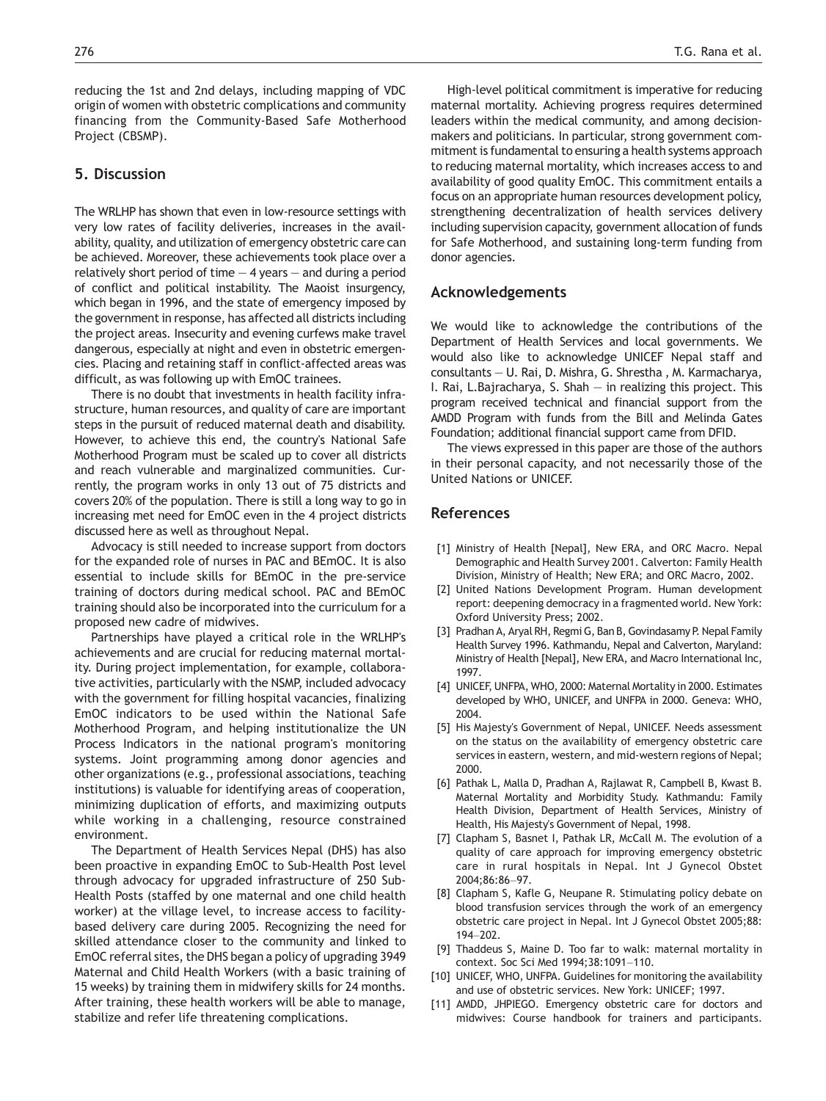<span id="page-6-0"></span>reducing the 1st and 2nd delays, including mapping of VDC origin of women with obstetric complications and community financing from the Community-Based Safe Motherhood Project (CBSMP).

# 5. Discussion

The WRLHP has shown that even in low-resource settings with very low rates of facility deliveries, increases in the availability, quality, and utilization of emergency obstetric care can be achieved. Moreover, these achievements took place over a relatively short period of time  $-4$  years  $-$  and during a period of conflict and political instability. The Maoist insurgency, which began in 1996, and the state of emergency imposed by the government in response, has affected all districts including the project areas. Insecurity and evening curfews make travel dangerous, especially at night and even in obstetric emergencies. Placing and retaining staff in conflict-affected areas was difficult, as was following up with EmOC trainees.

There is no doubt that investments in health facility infrastructure, human resources, and quality of care are important steps in the pursuit of reduced maternal death and disability. However, to achieve this end, the country's National Safe Motherhood Program must be scaled up to cover all districts and reach vulnerable and marginalized communities. Currently, the program works in only 13 out of 75 districts and covers 20% of the population. There is still a long way to go in increasing met need for EmOC even in the 4 project districts discussed here as well as throughout Nepal.

Advocacy is still needed to increase support from doctors for the expanded role of nurses in PAC and BEmOC. It is also essential to include skills for BEmOC in the pre-service training of doctors during medical school. PAC and BEmOC training should also be incorporated into the curriculum for a proposed new cadre of midwives.

Partnerships have played a critical role in the WRLHP's achievements and are crucial for reducing maternal mortality. During project implementation, for example, collaborative activities, particularly with the NSMP, included advocacy with the government for filling hospital vacancies, finalizing EmOC indicators to be used within the National Safe Motherhood Program, and helping institutionalize the UN Process Indicators in the national program's monitoring systems. Joint programming among donor agencies and other organizations (e.g., professional associations, teaching institutions) is valuable for identifying areas of cooperation, minimizing duplication of efforts, and maximizing outputs while working in a challenging, resource constrained environment.

The Department of Health Services Nepal (DHS) has also been proactive in expanding EmOC to Sub-Health Post level through advocacy for upgraded infrastructure of 250 Sub-Health Posts (staffed by one maternal and one child health worker) at the village level, to increase access to facilitybased delivery care during 2005. Recognizing the need for skilled attendance closer to the community and linked to EmOC referral sites, the DHS began a policy of upgrading 3949 Maternal and Child Health Workers (with a basic training of 15 weeks) by training them in midwifery skills for 24 months. After training, these health workers will be able to manage, stabilize and refer life threatening complications.

High-level political commitment is imperative for reducing maternal mortality. Achieving progress requires determined leaders within the medical community, and among decisionmakers and politicians. In particular, strong government commitment is fundamental to ensuring a health systems approach to reducing maternal mortality, which increases access to and availability of good quality EmOC. This commitment entails a focus on an appropriate human resources development policy, strengthening decentralization of health services delivery including supervision capacity, government allocation of funds for Safe Motherhood, and sustaining long-term funding from donor agencies.

#### Acknowledgements

We would like to acknowledge the contributions of the Department of Health Services and local governments. We would also like to acknowledge UNICEF Nepal staff and consultants — U. Rai, D. Mishra, G. Shrestha , M. Karmacharya, I. Rai, L.Bajracharya, S. Shah — in realizing this project. This program received technical and financial support from the AMDD Program with funds from the Bill and Melinda Gates Foundation; additional financial support came from DFID.

The views expressed in this paper are those of the authors in their personal capacity, and not necessarily those of the United Nations or UNICEF.

#### References

- [1] Ministry of Health [Nepal], New ERA, and ORC Macro. Nepal Demographic and Health Survey 2001. Calverton: Family Health Division, Ministry of Health; New ERA; and ORC Macro, 2002.
- [2] United Nations Development Program. Human development report: deepening democracy in a fragmented world. New York: Oxford University Press; 2002.
- [3] Pradhan A, Aryal RH, Regmi G, Ban B, Govindasamy P. Nepal Family Health Survey 1996. Kathmandu, Nepal and Calverton, Maryland: Ministry of Health [Nepal], New ERA, and Macro International Inc, 1997.
- [4] UNICEF, UNFPA, WHO, 2000: Maternal Mortality in 2000. Estimates developed by WHO, UNICEF, and UNFPA in 2000. Geneva: WHO, 2004.
- [5] His Majesty's Government of Nepal, UNICEF. Needs assessment on the status on the availability of emergency obstetric care services in eastern, western, and mid-western regions of Nepal; 2000.
- [6] Pathak L, Malla D, Pradhan A, Rajlawat R, Campbell B, Kwast B. Maternal Mortality and Morbidity Study. Kathmandu: Family Health Division, Department of Health Services, Ministry of Health, His Majesty's Government of Nepal, 1998.
- [7] Clapham S, Basnet I, Pathak LR, McCall M. The evolution of a quality of care approach for improving emergency obstetric care in rural hospitals in Nepal. Int J Gynecol Obstet 2004;86:86–97.
- [8] Clapham S, Kafle G, Neupane R. Stimulating policy debate on blood transfusion services through the work of an emergency obstetric care project in Nepal. Int J Gynecol Obstet 2005;88: 194–202.
- [9] Thaddeus S, Maine D. Too far to walk: maternal mortality in context. Soc Sci Med 1994;38:1091–110.
- [10] UNICEF, WHO, UNFPA. Guidelines for monitoring the availability and use of obstetric services. New York: UNICEF; 1997.
- [11] AMDD, JHPIEGO. Emergency obstetric care for doctors and midwives: Course handbook for trainers and participants.